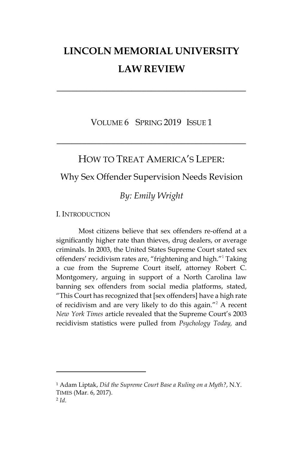# **LINCOLN MEMORIAL UNIVERSITY LAW REVIEW**

**\_\_\_\_\_\_\_\_\_\_\_\_\_\_\_\_\_\_\_\_\_\_\_\_\_\_\_\_\_\_\_\_\_\_\_\_\_\_**

VOLUME 6 SPRING 2019 ISSUE 1

**\_\_\_\_\_\_\_\_\_\_\_\_\_\_\_\_\_\_\_\_\_\_\_\_\_\_\_\_\_\_\_\_\_\_\_\_\_\_**

HOW TO TREAT AMERICA'S LEPER:

# Why Sex Offender Supervision Needs Revision

# *By: Emily Wright*

I. INTRODUCTION

 $\overline{\phantom{a}}$ 

Most citizens believe that sex offenders re-offend at a significantly higher rate than thieves, drug dealers, or average criminals. In 2003, the United States Supreme Court stated sex offenders' recidivism rates are, "frightening and high."<sup>1</sup> Taking a cue from the Supreme Court itself, attorney Robert C. Montgomery, arguing in support of a North Carolina law banning sex offenders from social media platforms, stated, "This Court has recognized that [sex offenders] have a high rate of recidivism and are very likely to do this again."<sup>2</sup> A recent *New York Times* article revealed that the Supreme Court's 2003 recidivism statistics were pulled from *Psychology Today,* and

<sup>1</sup> Adam Liptak, *Did the Supreme Court Base a Ruling on a Myth?*, N.Y. TIMES (Mar. 6, 2017). 2 *Id*.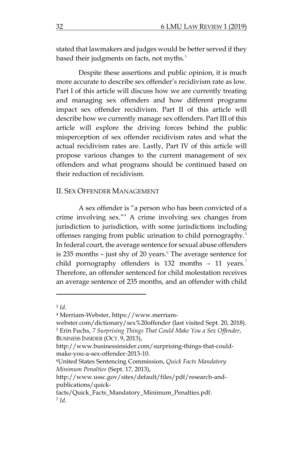stated that lawmakers and judges would be better served if they based their judgments on facts, not myths. $3$ 

Despite these assertions and public opinion, it is much more accurate to describe sex offender's recidivism rate as low. Part I of this article will discuss how we are currently treating and managing sex offenders and how different programs impact sex offender recidivism. Part II of this article will describe how we currently manage sex offenders. Part III of this article will explore the driving forces behind the public misperception of sex offender recidivism rates and what the actual recidivism rates are. Lastly, Part IV of this article will propose various changes to the current management of sex offenders and what programs should be continued based on their reduction of recidivism.

#### II. SEX OFFENDER MANAGEMENT

A sex offender is "a person who has been convicted of a crime involving sex."<sup>4</sup> A crime involving sex changes from jurisdiction to jurisdiction, with some jurisdictions including offenses ranging from public urination to child pornography.<sup>5</sup> In federal court, the average sentence for sexual abuse offenders is 235 months  $-$  just shy of 20 years. $6$  The average sentence for child pornography offenders is  $132$  months -  $11$  years.<sup>7</sup> Therefore, an offender sentenced for child molestation receives an average sentence of 235 months, and an offender with child

 $\overline{a}$ 

<sup>4</sup> Merriam-Webster, [https://www.merriam-](https://www.merriam-webster.com/dictionary/sex%20offender)

<sup>3</sup> *Id*.

[webster.com/dictionary/sex%20offender](https://www.merriam-webster.com/dictionary/sex%20offender) (last visited Sept. 20, 2018). <sup>5</sup> Erin Fuchs, *7 Surprising Things That Could Make You a Sex Offender*, BUSINESS INSIDER (OCT. 9, 2013),

[http://www.businessinsider.com/surprising-things-that-could](http://www.businessinsider.com/surprising-things-that-could-make-you-a-sex-offender-2013-10)[make-you-a-sex-offender-2013-10.](http://www.businessinsider.com/surprising-things-that-could-make-you-a-sex-offender-2013-10)

<sup>6</sup>United States Sentencing Commission, *Quick Facts Mandatory Minimum Penalties* (Sept. 17, 2013),

[http://www.ussc.gov/sites/default/files/pdf/research-and](http://www.ussc.gov/sites/default/files/pdf/research-and-publications/quick-facts/Quick_Facts_Mandatory_Minimum_Penalties.pdf)[publications/quick-](http://www.ussc.gov/sites/default/files/pdf/research-and-publications/quick-facts/Quick_Facts_Mandatory_Minimum_Penalties.pdf)

[facts/Quick\\_Facts\\_Mandatory\\_Minimum\\_Penalties.pdf.](http://www.ussc.gov/sites/default/files/pdf/research-and-publications/quick-facts/Quick_Facts_Mandatory_Minimum_Penalties.pdf) 7 *Id*.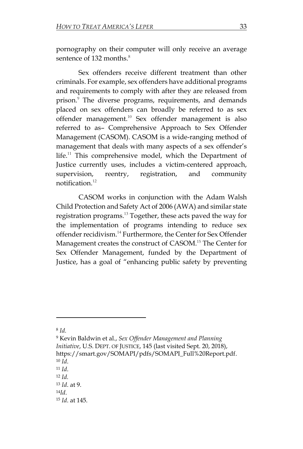pornography on their computer will only receive an average sentence of  $132$  months.<sup>8</sup>

Sex offenders receive different treatment than other criminals. For example, sex offenders have additional programs and requirements to comply with after they are released from prison. <sup>9</sup> The diverse programs, requirements, and demands placed on sex offenders can broadly be referred to as sex offender management.<sup>10</sup> Sex offender management is also referred to as– Comprehensive Approach to Sex Offender Management (CASOM). CASOM is a wide-ranging method of management that deals with many aspects of a sex offender's life.<sup>11</sup> This comprehensive model, which the Department of Justice currently uses, includes a victim-centered approach, supervision, reentry, registration, and community notification.<sup>12</sup>

CASOM works in conjunction with the Adam Walsh Child Protection and Safety Act of 2006 (AWA) and similar state registration programs.<sup>13</sup> Together, these acts paved the way for the implementation of programs intending to reduce sex offender recidivism.<sup>14</sup> Furthermore, the Center for Sex Offender Management creates the construct of CASOM.<sup>15</sup> The Center for Sex Offender Management, funded by the Department of Justice, has a goal of "enhancing public safety by preventing

<sup>8</sup> *Id.*

<sup>9</sup> Kevin Baldwin et al., *Sex Offender Management and Planning Initiative*, U.S. DEPT. OF JUSTICE, 145 (last visited Sept. 20, 2018), [https://smart.gov/SOMAPI/pdfs/SOMAPI\\_Full%20Report.pdf.](https://smart.gov/SOMAPI/pdfs/SOMAPI_Full%20Report.pdf) <sup>10</sup> *Id*.

<sup>11</sup> *Id*.

<sup>12</sup> *Id.*

<sup>13</sup> *Id*. at 9.

<sup>14</sup>*Id*.

<sup>15</sup> *Id*. at 145.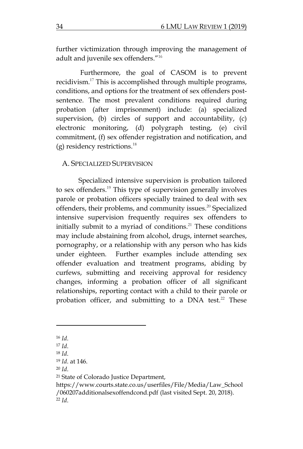further victimization through improving the management of adult and juvenile sex offenders." 16

Furthermore, the goal of CASOM is to prevent recidivism.<sup>17</sup> This is accomplished through multiple programs, conditions, and options for the treatment of sex offenders postsentence. The most prevalent conditions required during probation (after imprisonment) include: (a) specialized supervision, (b) circles of support and accountability, (c) electronic monitoring, (d) polygraph testing, (e) civil commitment, (f) sex offender registration and notification, and (g) residency restrictions. 18

## A. SPECIALIZED SUPERVISION

Specialized intensive supervision is probation tailored to sex offenders.<sup>19</sup> This type of supervision generally involves parole or probation officers specially trained to deal with sex offenders, their problems, and community issues. <sup>20</sup> Specialized intensive supervision frequently requires sex offenders to initially submit to a myriad of conditions.<sup>21</sup> These conditions may include abstaining from alcohol, drugs, internet searches, pornography, or a relationship with any person who has kids under eighteen. Further examples include attending sex offender evaluation and treatment programs, abiding by curfews, submitting and receiving approval for residency changes, informing a probation officer of all significant relationships, reporting contact with a child to their parole or probation officer, and submitting to a DNA test.<sup>22</sup> These

<sup>16</sup> *Id*.

<sup>17</sup> *Id*.

<sup>18</sup> *Id*.

<sup>19</sup> *Id*. at 146.

<sup>20</sup> *Id*.

<sup>21</sup> State of Colorado Justice Department,

[https://www.courts.state.co.us/userfiles/File/Media/Law\\_School](https://www.courts.state.co.us/userfiles/File/Media/Law_School/060207additionalsexoffendcond.pdf) [/060207additionalsexoffendcond.pdf](https://www.courts.state.co.us/userfiles/File/Media/Law_School/060207additionalsexoffendcond.pdf) (last visited Sept. 20, 2018). <sup>22</sup> *Id*.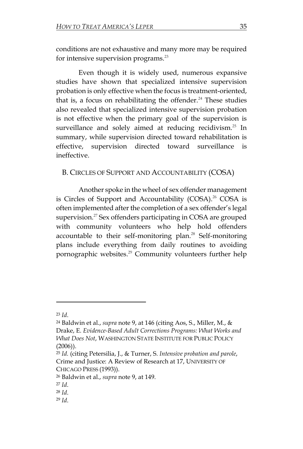conditions are not exhaustive and many more may be required for intensive supervision programs.<sup>23</sup>

Even though it is widely used, numerous expansive studies have shown that specialized intensive supervision probation is only effective when the focus is treatment-oriented, that is, a focus on rehabilitating the offender. $24$  These studies also revealed that specialized intensive supervision probation is not effective when the primary goal of the supervision is surveillance and solely aimed at reducing recidivism.<sup>25</sup> In summary, while supervision directed toward rehabilitation is effective, supervision directed toward surveillance is ineffective.

B. CIRCLES OF SUPPORT AND ACCOUNTABILITY (COSA)

Another spoke in the wheel of sex offender management is Circles of Support and Accountability (COSA).<sup>26</sup> COSA is often implemented after the completion of a sex offender's legal supervision.<sup>27</sup> Sex offenders participating in COSA are grouped with community volunteers who help hold offenders accountable to their self-monitoring plan.<sup>28</sup> Self-monitoring plans include everything from daily routines to avoiding pornographic websites. <sup>29</sup> Community volunteers further help

<sup>23</sup> *Id*.

<sup>24</sup> Baldwin et al., *supra* note 9, at 146 (citing Aos, S., Miller, M., & Drake, E. *Evidence-Based Adult Corrections Programs: What Works and What Does Not*, WASHINGTON STATE INSTITUTE FOR PUBLIC POLICY  $(2006)$ ).

<sup>25</sup> *Id.* (citing Petersilia, J., & Turner, S. *Intensive probation and parole*, Crime and Justice: A Review of Research at 17, UNIVERSITY OF CHICAGO PRESS (1993)).

<sup>26</sup> Baldwin et al., *supra* note 9, at 149.

<sup>27</sup> *Id*.

<sup>28</sup> *Id*.

<sup>29</sup> *Id*.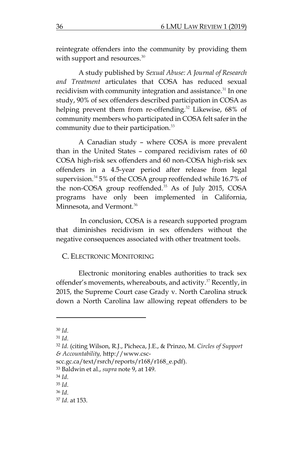reintegrate offenders into the community by providing them with support and resources.<sup>30</sup>

A study published by *Sexual Abuse: A Journal of Research and Treatment* articulates that COSA has reduced sexual recidivism with community integration and assistance.<sup>31</sup> In one study, 90% of sex offenders described participation in COSA as helping prevent them from re-offending.<sup>32</sup> Likewise, 68% of community members who participated in COSA felt safer in the community due to their participation.<sup>33</sup>

A Canadian study – where COSA is more prevalent than in the United States – compared recidivism rates of 60 COSA high-risk sex offenders and 60 non-COSA high-risk sex offenders in a 4.5-year period after release from legal supervision. <sup>34</sup> 5% of the COSA group reoffended while 16.7% of the non-COSA group reoffended.<sup>35</sup> As of July 2015, COSA programs have only been implemented in California, Minnesota, and Vermont.<sup>36</sup>

In conclusion, COSA is a research supported program that diminishes recidivism in sex offenders without the negative consequences associated with other treatment tools.

#### C. ELECTRONIC MONITORING

Electronic monitoring enables authorities to track sex offender's movements, whereabouts, and activity.<sup>37</sup> Recently, in 2015, the Supreme Court case Grady v. North Carolina struck down a North Carolina law allowing repeat offenders to be

 $\overline{\phantom{a}}$ 

<sup>33</sup> Baldwin et al., *supra* note 9, at 149.

<sup>35</sup> *Id*.

<sup>30</sup> *Id*.

<sup>31</sup> *Id*.

<sup>32</sup> *Id.* (citing Wilson, R.J., Picheca, J.E., & Prinzo, M. *Circles of Support & Accountability,* [http://www.csc-](http://www.csc-scc.gc.ca/text/rsrch/reports/r168/r168_e.pdf)

[scc.gc.ca/text/rsrch/reports/r168/r168\\_e.pdf\)](http://www.csc-scc.gc.ca/text/rsrch/reports/r168/r168_e.pdf).

<sup>34</sup> *Id*.

<sup>36</sup> *Id*.

<sup>37</sup> *Id*. at 153.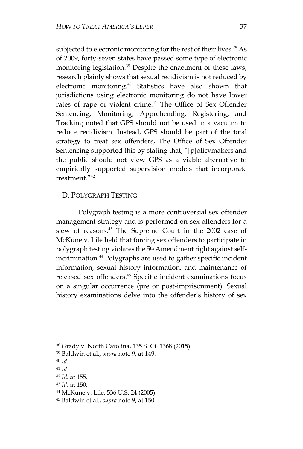subjected to electronic monitoring for the rest of their lives.<sup>38</sup> As of 2009, forty-seven states have passed some type of electronic monitoring legislation.<sup>39</sup> Despite the enactment of these laws, research plainly shows that sexual recidivism is not reduced by electronic monitoring.<sup>40</sup> Statistics have also shown that jurisdictions using electronic monitoring do not have lower rates of rape or violent crime.<sup>41</sup> The Office of Sex Offender Sentencing, Monitoring, Apprehending, Registering, and Tracking noted that GPS should not be used in a vacuum to reduce recidivism. Instead, GPS should be part of the total strategy to treat sex offenders, The Office of Sex Offender Sentencing supported this by stating that, "[p]olicymakers and the public should not view GPS as a viable alternative to empirically supported supervision models that incorporate treatment."<sup>42</sup>

## D. POLYGRAPH TESTING

Polygraph testing is a more controversial sex offender management strategy and is performed on sex offenders for a slew of reasons.<sup>43</sup> The Supreme Court in the 2002 case of McKune v. Lile held that forcing sex offenders to participate in polygraph testing violates the 5<sup>th</sup> Amendment right against selfincrimination.<sup>44</sup> Polygraphs are used to gather specific incident information, sexual history information, and maintenance of released sex offenders. <sup>45</sup> Specific incident examinations focus on a singular occurrence (pre or post-imprisonment). Sexual history examinations delve into the offender's history of sex

 $\overline{a}$ 

<sup>38</sup> Grady v. North Carolina, 135 S. Ct. 1368 (2015).

<sup>39</sup> Baldwin et al., *supra* note 9, at 149.

<sup>40</sup> *Id*.

<sup>41</sup> *Id*.

<sup>42</sup> *Id*. at 155.

<sup>43</sup> *Id*. at 150.

<sup>44</sup> McKune v. Lile, 536 U.S. 24 (2005).

<sup>45</sup> Baldwin et al., *supra* note 9, at 150.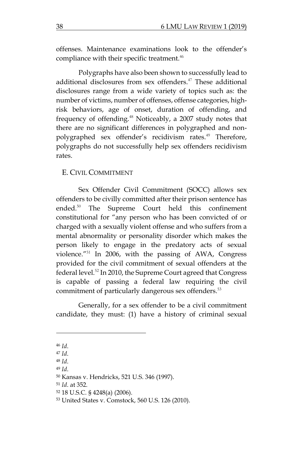offenses. Maintenance examinations look to the offender's compliance with their specific treatment.<sup>46</sup>

Polygraphs have also been shown to successfully lead to additional disclosures from sex offenders.<sup>47</sup> These additional disclosures range from a wide variety of topics such as: the number of victims, number of offenses, offense categories, highrisk behaviors, age of onset, duration of offending, and frequency of offending.<sup>48</sup> Noticeably, a 2007 study notes that there are no significant differences in polygraphed and nonpolygraphed sex offender's recidivism rates.<sup>49</sup> Therefore, polygraphs do not successfully help sex offenders recidivism rates.

#### E. CIVIL COMMITMENT

Sex Offender Civil Commitment (SOCC) allows sex offenders to be civilly committed after their prison sentence has ended.<sup>50</sup> The Supreme Court held this confinement constitutional for "any person who has been convicted of or charged with a sexually violent offense and who suffers from a mental abnormality or personality disorder which makes the person likely to engage in the predatory acts of sexual violence."<sup>51</sup> In 2006, with the passing of AWA, Congress provided for the civil commitment of sexual offenders at the federal level.<sup>52</sup> In 2010, the Supreme Court agreed that Congress is capable of passing a federal law requiring the civil commitment of particularly dangerous sex offenders.<sup>53</sup>

Generally, for a sex offender to be a civil commitment candidate, they must: (1) have a history of criminal sexual

 $\overline{a}$ 

<sup>46</sup> *Id*.

<sup>47</sup> *Id*.

<sup>48</sup> *Id*. <sup>49</sup> *Id*.

<sup>50</sup> Kansas v. Hendricks, 521 U.S. 346 (1997).

<sup>51</sup> *Id*. at 352.

<sup>52</sup> 18 U.S.C. § 4248(a) (2006).

<sup>53</sup> United States v. Comstock, 560 U.S. 126 (2010).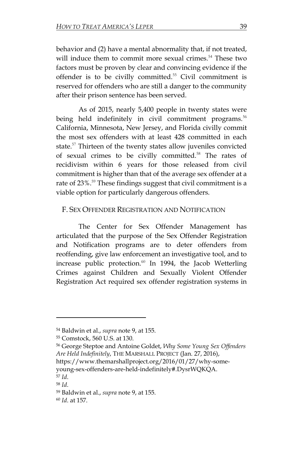behavior and (2) have a mental abnormality that, if not treated, will induce them to commit more sexual crimes.<sup>54</sup> These two factors must be proven by clear and convincing evidence if the offender is to be civilly committed.<sup>55</sup> Civil commitment is reserved for offenders who are still a danger to the community after their prison sentence has been served.

As of 2015, nearly 5,400 people in twenty states were being held indefinitely in civil commitment programs.<sup>56</sup> California, Minnesota, New Jersey, and Florida civilly commit the most sex offenders with at least 428 committed in each state.<sup>57</sup> Thirteen of the twenty states allow juveniles convicted of sexual crimes to be civilly committed.<sup>58</sup> The rates of recidivism within 6 years for those released from civil commitment is higher than that of the average sex offender at a rate of 23%.<sup>59</sup> These findings suggest that civil commitment is a viable option for particularly dangerous offenders.

#### F. SEX OFFENDER REGISTRATION AND NOTIFICATION

The Center for Sex Offender Management has articulated that the purpose of the Sex Offender Registration and Notification programs are to deter offenders from reoffending, give law enforcement an investigative tool, and to increase public protection.<sup>60</sup> In 1994, the Jacob Wetterling Crimes against Children and Sexually Violent Offender Registration Act required sex offender registration systems in

[https://www.themarshallproject.org/2016/01/27/why-some](https://www.themarshallproject.org/2016/01/27/why-some-young-sex-offenders-are-held-indefinitely#.DysrWQKQA)[young-sex-offenders-are-held-indefinitely#.DysrWQKQA.](https://www.themarshallproject.org/2016/01/27/why-some-young-sex-offenders-are-held-indefinitely#.DysrWQKQA)

 $\overline{\phantom{a}}$ 

<sup>58</sup> *Id*.

<sup>60</sup> *Id*. at 157.

<sup>54</sup> Baldwin et al., *supra* note 9, at 155.

<sup>55</sup> Comstock, 560 U.S. at 130.

<sup>56</sup> George Steptoe and Antoine Goldet, *Why Some Young Sex Offenders Are Held Indefinitely*, THE MARSHALL PROJECT (Jan. 27, 2016),

<sup>57</sup> *Id*.

<sup>59</sup> Baldwin et al., *supra* note 9, at 155.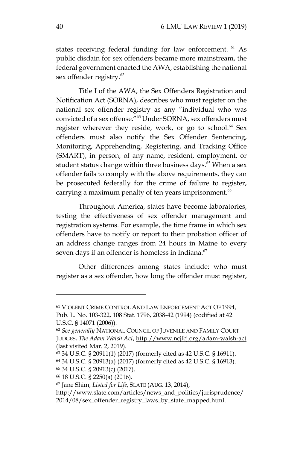states receiving federal funding for law enforcement. <sup>61</sup> As public disdain for sex offenders became more mainstream, the federal government enacted the AWA, establishing the national sex offender registry.<sup>62</sup>

Title I of the AWA, the Sex Offenders Registration and Notification Act (SORNA), describes who must register on the national sex offender registry as any "individual who was convicted of a sex offense."<sup>63</sup> Under SORNA, sex offenders must register wherever they reside, work, or go to school. $64$  Sex offenders must also notify the Sex Offender Sentencing, Monitoring, Apprehending, Registering, and Tracking Office (SMART), in person, of any name, resident, employment, or student status change within three business days.<sup>65</sup> When a sex offender fails to comply with the above requirements, they can be prosecuted federally for the crime of failure to register, carrying a maximum penalty of ten years imprisonment.<sup>66</sup>

Throughout America, states have become laboratories, testing the effectiveness of sex offender management and registration systems. For example, the time frame in which sex offenders have to notify or report to their probation officer of an address change ranges from 24 hours in Maine to every seven days if an offender is homeless in Indiana.<sup>67</sup>

Other differences among states include: who must register as a sex offender, how long the offender must register,

 $\overline{a}$ 

<sup>61</sup> VIOLENT CRIME CONTROL AND LAW ENFORCEMENT ACT OF 1994, Pub. L. No. 103-322, 108 Stat. 1796, 2038-42 (1994) (codified at 42 U.S.C. § 14071 (2006)).

<sup>62</sup> *See generally* NATIONAL COUNCIL OF JUVENILE AND FAMILY COURT JUDGES, *The Adam Walsh Act*, <http://www.ncjfcj.org/adam-walsh-act> (last visited Mar. 2, 2019).

<sup>63</sup> 34 U.S.C. § 20911(1) (2017) (formerly cited as 42 U.S.C. § 16911).

<sup>64</sup> 34 U.S.C. § 20913(a) (2017) (formerly cited as 42 U.S.C. § 16913).

<sup>65</sup> 34 U.S.C. § 20913(c) (2017).

<sup>66</sup> 18 U.S.C. § 2250(a) (2016).

<sup>67</sup> Jane Shim, *Listed for Life*, SLATE (AUG. 13, 2014),

[http://www.slate.com/articles/news\\_and\\_politics/jurisprudence/](http://www.slate.com/articles/news_and_politics/jurisprudence/2014/08/sex_offender_registry_laws_by_state_mapped.html) [2014/08/sex\\_offender\\_registry\\_laws\\_by\\_state\\_mapped.html.](http://www.slate.com/articles/news_and_politics/jurisprudence/2014/08/sex_offender_registry_laws_by_state_mapped.html)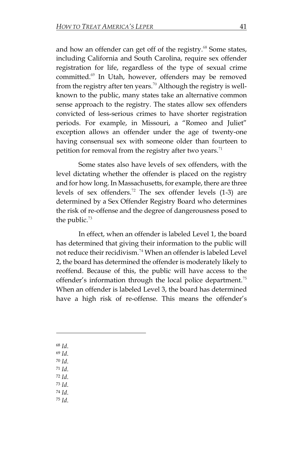and how an offender can get off of the registry.<sup>68</sup> Some states, including California and South Carolina, require sex offender registration for life, regardless of the type of sexual crime committed.<sup>69</sup> In Utah, however, offenders may be removed from the registry after ten years.<sup>70</sup> Although the registry is wellknown to the public, many states take an alternative common sense approach to the registry. The states allow sex offenders convicted of less-serious crimes to have shorter registration periods. For example, in Missouri, a "Romeo and Juliet" exception allows an offender under the age of twenty-one having consensual sex with someone older than fourteen to petition for removal from the registry after two years.<sup>71</sup>

Some states also have levels of sex offenders, with the level dictating whether the offender is placed on the registry and for how long. In Massachusetts, for example, there are three levels of sex offenders.<sup>72</sup> The sex offender levels  $(1-3)$  are determined by a Sex Offender Registry Board who determines the risk of re-offense and the degree of dangerousness posed to the public. $73$ 

In effect, when an offender is labeled Level 1, the board has determined that giving their information to the public will not reduce their recidivism.<sup>74</sup> When an offender is labeled Level 2, the board has determined the offender is moderately likely to reoffend. Because of this, the public will have access to the offender's information through the local police department.<sup>75</sup> When an offender is labeled Level 3, the board has determined have a high risk of re-offense. This means the offender's

<sup>68</sup> *Id*.

 $\overline{a}$ 

- <sup>69</sup> *Id*.
- <sup>70</sup> *Id*.
- <sup>71</sup> *Id*.
- <sup>72</sup> *Id*. <sup>73</sup> *Id*.
- <sup>74</sup> *Id*.
- <sup>75</sup> *Id*.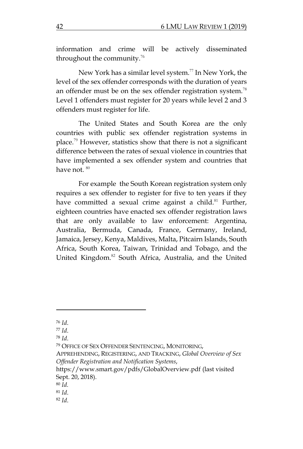information and crime will be actively disseminated throughout the community.<sup>76</sup>

New York has a similar level system. <sup>77</sup> In New York, the level of the sex offender corresponds with the duration of years an offender must be on the sex offender registration system.<sup>78</sup> Level 1 offenders must register for 20 years while level 2 and 3 offenders must register for life.

The United States and South Korea are the only countries with public sex offender registration systems in place.<sup>79</sup> However, statistics show that there is not a significant difference between the rates of sexual violence in countries that have implemented a sex offender system and countries that have not. 80

For example the South Korean registration system only requires a sex offender to register for five to ten years if they have committed a sexual crime against a child. $81$  Further, eighteen countries have enacted sex offender registration laws that are only available to law enforcement: Argentina, Australia, Bermuda, Canada, France, Germany, Ireland, Jamaica, Jersey, Kenya, Maldives, Malta, Pitcairn Islands, South Africa, South Korea, Taiwan, Trinidad and Tobago, and the United Kingdom.<sup>82</sup> South Africa, Australia, and the United

l

<sup>79</sup> OFFICE OF SEX OFFENDER SENTENCING, MONITORING,

APPREHENDING, REGISTERING, AND TRACKING, *Global Overview of Sex Offender Registration and Notification Systems*,

<sup>76</sup> *Id*.

<sup>77</sup> *Id*.

<sup>78</sup> *Id*.

<https://www.smart.gov/pdfs/GlobalOverview.pdf> (last visited Sept. 20, 2018).

<sup>80</sup> *Id.*

<sup>81</sup> *Id*.

<sup>82</sup> *Id*.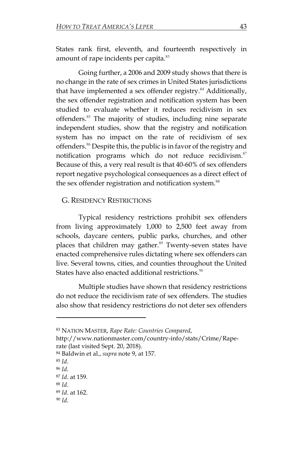States rank first, eleventh, and fourteenth respectively in amount of rape incidents per capita.<sup>83</sup>

Going further, a 2006 and 2009 study shows that there is no change in the rate of sex crimes in United States jurisdictions that have implemented a sex offender registry.<sup>84</sup> Additionally, the sex offender registration and notification system has been studied to evaluate whether it reduces recidivism in sex offenders.<sup>85</sup> The majority of studies, including nine separate independent studies, show that the registry and notification system has no impact on the rate of recidivism of sex offenders.<sup>86</sup> Despite this, the public is in favor of the registry and notification programs which do not reduce recidivism.<sup>87</sup> Because of this, a very real result is that 40-60% of sex offenders report negative psychological consequences as a direct effect of the sex offender registration and notification system.<sup>88</sup>

#### G. RESIDENCY RESTRICTIONS

Typical residency restrictions prohibit sex offenders from living approximately 1,000 to 2,500 feet away from schools, daycare centers, public parks, churches, and other places that children may gather.<sup>89</sup> Twenty-seven states have enacted comprehensive rules dictating where sex offenders can live. Several towns, cities, and counties throughout the United States have also enacted additional restrictions. $90$ 

Multiple studies have shown that residency restrictions do not reduce the recidivism rate of sex offenders. The studies also show that residency restrictions do not deter sex offenders

<sup>83</sup> NATION MASTER, *Rape Rate: Countries Compared*,

[http://www.nationmaster.com/country-info/stats/Crime/Rape](http://www.nationmaster.com/country-info/stats/Crime/Rape-rate)[rate](http://www.nationmaster.com/country-info/stats/Crime/Rape-rate) (last visited Sept. 20, 2018).

<sup>84</sup> Baldwin et al., *supra* note 9, at 157.

<sup>85</sup> *Id*.

<sup>86</sup> *Id*.

<sup>87</sup> *Id*. at 159.

<sup>88</sup> *Id*.

<sup>89</sup> *Id*. at 162.

<sup>90</sup> *Id*.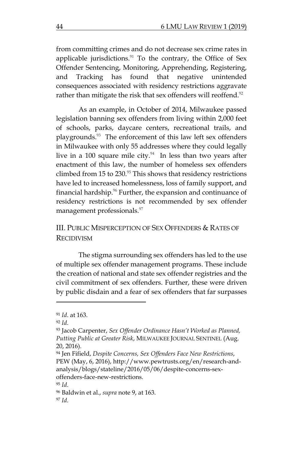from committing crimes and do not decrease sex crime rates in applicable jurisdictions. $91$  To the contrary, the Office of Sex Offender Sentencing, Monitoring, Apprehending, Registering, and Tracking has found that negative unintended consequences associated with residency restrictions aggravate rather than mitigate the risk that sex offenders will reoffend.<sup>92</sup>

As an example, in October of 2014, Milwaukee passed legislation banning sex offenders from living within 2,000 feet of schools, parks, daycare centers, recreational trails, and playgrounds.<sup>93</sup> The enforcement of this law left sex offenders in Milwaukee with only 55 addresses where they could legally live in a 100 square mile city. $94$  In less than two years after enactment of this law, the number of homeless sex offenders climbed from 15 to  $230.95$  This shows that residency restrictions have led to increased homelessness, loss of family support, and financial hardship. $96$  Further, the expansion and continuance of residency restrictions is not recommended by sex offender management professionals.<sup>97</sup>

# III. PUBLIC MISPERCEPTION OF SEX OFFENDERS & RATES OF RECIDIVISM

The stigma surrounding sex offenders has led to the use of multiple sex offender management programs. These include the creation of national and state sex offender registries and the civil commitment of sex offenders. Further, these were driven by public disdain and a fear of sex offenders that far surpasses

<sup>91</sup> *Id*. at 163.

<sup>92</sup> *Id*.

<sup>93</sup> Jacob Carpenter, *Sex Offender Ordinance Hasn't Worked as Planned, Putting Public at Greater Risk*, MILWAUKEE JOURNAL SENTINEL (Aug. 20, 2016).

<sup>94</sup> Jen Fifield, *Despite Concerns, Sex Offenders Face New Restrictions*, PEW (May, 6, 2016), [http://www.pewtrusts.org/en/research-and](http://www.pewtrusts.org/en/research-and-analysis/blogs/stateline/2016/05/06/despite-concerns-sex-offenders-face-new-restrictions)[analysis/blogs/stateline/2016/05/06/despite-concerns-sex](http://www.pewtrusts.org/en/research-and-analysis/blogs/stateline/2016/05/06/despite-concerns-sex-offenders-face-new-restrictions)[offenders-face-new-restrictions.](http://www.pewtrusts.org/en/research-and-analysis/blogs/stateline/2016/05/06/despite-concerns-sex-offenders-face-new-restrictions)

<sup>95</sup> *Id*.

<sup>96</sup> Baldwin et al., *supra* note 9, at 163. <sup>97</sup> *Id*.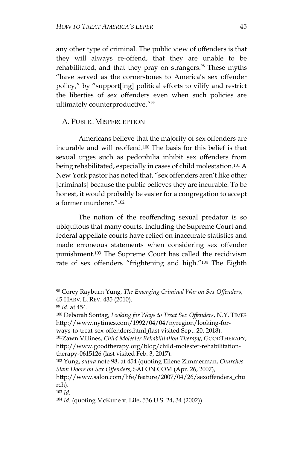any other type of criminal. The public view of offenders is that they will always re-offend, that they are unable to be rehabilitated, and that they pray on strangers.<sup>98</sup> These myths "have served as the cornerstones to America's sex offender policy," by "support[ing] political efforts to vilify and restrict the liberties of sex offenders even when such policies are ultimately counterproductive."<sup>99</sup>

#### A. PUBLIC MISPERCEPTION

Americans believe that the majority of sex offenders are incurable and will reoffend.<sup>100</sup> The basis for this belief is that sexual urges such as pedophilia inhibit sex offenders from being rehabilitated, especially in cases of child molestation.<sup>101</sup> A New York pastor has noted that, "sex offenders aren't like other [criminals] because the public believes they are incurable. To be honest, it would probably be easier for a congregation to accept a former murderer."<sup>102</sup>

The notion of the reoffending sexual predator is so ubiquitous that many courts, including the Supreme Court and federal appellate courts have relied on inaccurate statistics and made erroneous statements when considering sex offender punishment.<sup>103</sup> The Supreme Court has called the recidivism rate of sex offenders "frightening and high."<sup>104</sup> The Eighth

<sup>98</sup> Corey Rayburn Yung, *The Emerging Criminal War on Sex Offenders*, 45 HARV. L. REV. 435 (2010).

<sup>99</sup> *Id*. at 454.

<sup>100</sup> Deborah Sontag, *Looking for Ways to Treat Sex Offenders*, N.Y. TIMES [http://www.nytimes.com/1992/04/04/nyregion/looking-for-](http://www.nytimes.com/1992/04/04/nyregion/looking-for-ways-to-treat-sex-offenders.html)

[ways-to-treat-sex-offenders.html](http://www.nytimes.com/1992/04/04/nyregion/looking-for-ways-to-treat-sex-offenders.html) (last visited Sept. 20, 2018). <sup>101</sup>Zawn Villines, *Child Molester Rehabilitation Therapy*, GOODTHERAPY,

[http://www.goodtherapy.org/blog/child-molester-rehabilitation](http://www.goodtherapy.org/blog/child-molester-rehabilitation-therapy-0615126)[therapy-0615126](http://www.goodtherapy.org/blog/child-molester-rehabilitation-therapy-0615126) (last visited Feb. 3, 2017).

<sup>102</sup> Yung, *supra* note 98, at 454 (quoting Eilene Zimmerman, *Churches Slam Doors on Sex Offenders*, SALON.COM (Apr. 26, 2007),

[http://www.salon.com/life/feature/2007/04/26/sexoffenders\\_chu](http://www.salon.com/life/feature/2007/04/26/sexoffenders_church) [rch\)](http://www.salon.com/life/feature/2007/04/26/sexoffenders_church).

<sup>103</sup> *Id*.

<sup>104</sup> *Id*. (quoting McKune v. Lile, 536 U.S. 24, 34 (2002)).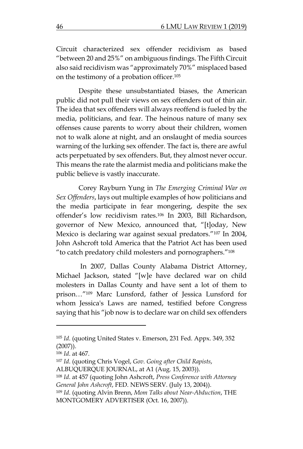Circuit characterized sex offender recidivism as based "between 20 and 25%" on ambiguous findings. The Fifth Circuit also said recidivism was "approximately 70%" misplaced based on the testimony of a probation officer. 105

Despite these unsubstantiated biases, the American public did not pull their views on sex offenders out of thin air. The idea that sex offenders will always reoffend is fueled by the media, politicians, and fear. The heinous nature of many sex offenses cause parents to worry about their children, women not to walk alone at night, and an onslaught of media sources warning of the lurking sex offender. The fact is, there are awful acts perpetuated by sex offenders. But, they almost never occur. This means the rate the alarmist media and politicians make the public believe is vastly inaccurate.

Corey Rayburn Yung in *The Emerging Criminal War on Sex Offenders*, lays out multiple examples of how politicians and the media participate in fear mongering, despite the sex offender's low recidivism rates.<sup>106</sup> In 2003, Bill Richardson, governor of New Mexico, announced that, "[t]oday, New Mexico is declaring war against sexual predators."<sup>107</sup> In 2004, John Ashcroft told America that the Patriot Act has been used "to catch predatory child molesters and pornographers."<sup>108</sup>

In 2007, Dallas County Alabama District Attorney, Michael Jackson, stated "[w]e have declared war on child molesters in Dallas County and have sent a lot of them to prison…"<sup>109</sup> Marc Lunsford, father of Jessica Lunsford for whom Jessica's Laws are named, testified before Congress saying that his "job now is to declare war on child sex offenders

<sup>105</sup> *Id*. (quoting United States v. Emerson, 231 Fed. Appx. 349, 352  $(2007)$ ).

<sup>106</sup> *Id*. at 467.

<sup>107</sup> *Id*. (quoting Chris Vogel, *Gov. Going after Child Rapists*,

ALBUQUERQUE JOURNAL, at A1 (Aug. 15, 2003)).

<sup>108</sup> *Id*. at 457 (quoting John Ashcroft, *Press Conference with Attorney General John Ashcroft*, FED. NEWS SERV. (July 13, 2004)).

<sup>109</sup> *Id*. (quoting Alvin Brenn, *Mom Talks about Near-Abduction*, THE MONTGOMERY ADVERTISER (Oct. 16, 2007)).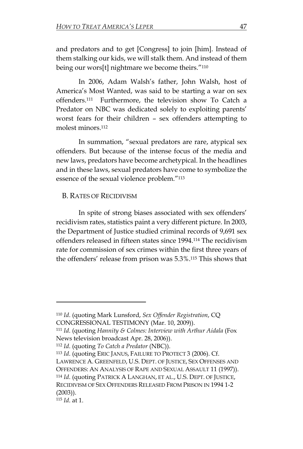and predators and to get [Congress] to join [him]. Instead of them stalking our kids, we will stalk them. And instead of them being our wors[t] nightmare we become theirs."<sup>110</sup>

In 2006, Adam Walsh's father, John Walsh, host of America's Most Wanted, was said to be starting a war on sex offenders.<sup>111</sup> Furthermore, the television show To Catch a Predator on NBC was dedicated solely to exploiting parents' worst fears for their children – sex offenders attempting to molest minors.<sup>112</sup>

In summation, "sexual predators are rare, atypical sex offenders. But because of the intense focus of the media and new laws, predators have become archetypical. In the headlines and in these laws, sexual predators have come to symbolize the essence of the sexual violence problem."<sup>113</sup>

## B. RATES OF RECIDIVISM

In spite of strong biases associated with sex offenders' recidivism rates, statistics paint a very different picture. In 2003, the Department of Justice studied criminal records of 9,691 sex offenders released in fifteen states since 1994.<sup>114</sup> The recidivism rate for commission of sex crimes within the first three years of the offenders' release from prison was 5.3%. <sup>115</sup> This shows that

<sup>110</sup> *Id*. (quoting Mark Lunsford, *Sex Offender Registration*, CQ CONGRESSIONAL TESTIMONY (Mar. 10, 2009)).

<sup>111</sup> *Id*. (quoting *Hannity & Colmes: Interview with Arthur Aidala* (Fox News television broadcast Apr. 28, 2006)).

<sup>112</sup> *Id*. (quoting *To Catch a Predator* (NBC)).

<sup>113</sup> *Id*. (quoting ERIC JANUS, FAILURE TO PROTECT 3 (2006). Cf. LAWRENCE A. GREENFELD, U.S. DEPT. OF JUSTICE, SEX OFFENSES AND OFFENDERS: AN ANALYSIS OF RAPE AND SEXUAL ASSAULT 11 (1997)). <sup>114</sup> *Id*. (quoting PATRICK A LANGHAN, ET AL., U.S. DEPT. OF JUSTICE, RECIDIVISM OF SEX OFFENDERS RELEASED FROM PRISON IN 1994 1-2 (2003)).

<sup>115</sup> *Id*. at 1.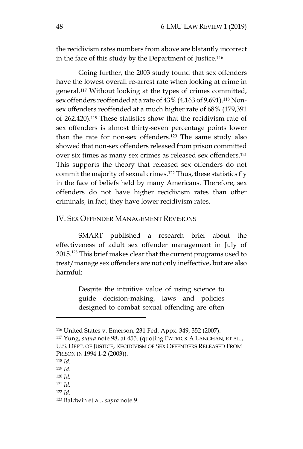the recidivism rates numbers from above are blatantly incorrect in the face of this study by the Department of Justice.<sup>116</sup>

Going further, the 2003 study found that sex offenders have the lowest overall re-arrest rate when looking at crime in general. <sup>117</sup> Without looking at the types of crimes committed, sex offenders reoffended at a rate of 43% (4,163 of 9,691).<sup>118</sup> Nonsex offenders reoffended at a much higher rate of 68% (179,391 of 262,420).<sup>119</sup> These statistics show that the recidivism rate of sex offenders is almost thirty-seven percentage points lower than the rate for non-sex offenders.<sup>120</sup> The same study also showed that non-sex offenders released from prison committed over six times as many sex crimes as released sex offenders.<sup>121</sup> This supports the theory that released sex offenders do not commit the majority of sexual crimes.<sup>122</sup> Thus, these statistics fly in the face of beliefs held by many Americans. Therefore, sex offenders do not have higher recidivism rates than other criminals, in fact, they have lower recidivism rates.

## IV. SEX OFFENDER MANAGEMENT REVISIONS

SMART published a research brief about the effectiveness of adult sex offender management in July of 2015.<sup>123</sup> This brief makes clear that the current programs used to treat/manage sex offenders are not only ineffective, but are also harmful:

> Despite the intuitive value of using science to guide decision-making, laws and policies designed to combat sexual offending are often

<sup>116</sup> United States v. Emerson, 231 Fed. Appx. 349, 352 (2007).

<sup>117</sup> Yung, *supra* note 98, at 455. (quoting PATRICK A LANGHAN, ET AL., U.S. DEPT. OF JUSTICE, RECIDIVISM OF SEX OFFENDERS RELEASED FROM PRISON IN 1994 1-2 (2003)).

<sup>118</sup> *Id*.

<sup>119</sup> *Id*.

<sup>120</sup> *Id*.

<sup>121</sup> *Id*.

<sup>122</sup> *Id*.

<sup>123</sup> Baldwin et al., *supra* note 9.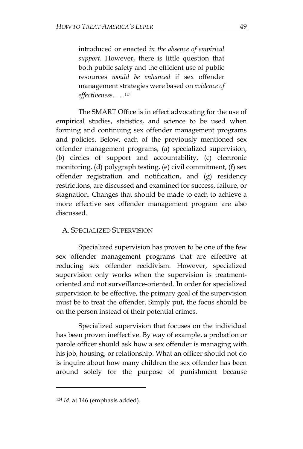introduced or enacted *in the absence of empirical support*. However, there is little question that both public safety and the efficient use of public resources *would be enhanced* if sex offender management strategies were based on *evidence of effectiveness*. . . . 124

The SMART Office is in effect advocating for the use of empirical studies, statistics, and science to be used when forming and continuing sex offender management programs and policies. Below, each of the previously mentioned sex offender management programs, (a) specialized supervision, (b) circles of support and accountability, (c) electronic monitoring, (d) polygraph testing, (e) civil commitment, (f) sex offender registration and notification, and (g) residency restrictions, are discussed and examined for success, failure, or stagnation. Changes that should be made to each to achieve a more effective sex offender management program are also discussed.

## A. SPECIALIZED SUPERVISION

Specialized supervision has proven to be one of the few sex offender management programs that are effective at reducing sex offender recidivism. However, specialized supervision only works when the supervision is treatmentoriented and not surveillance-oriented. In order for specialized supervision to be effective, the primary goal of the supervision must be to treat the offender. Simply put, the focus should be on the person instead of their potential crimes.

Specialized supervision that focuses on the individual has been proven ineffective. By way of example, a probation or parole officer should ask how a sex offender is managing with his job, housing, or relationship. What an officer should not do is inquire about how many children the sex offender has been around solely for the purpose of punishment because

 $\overline{a}$ 

<sup>124</sup> *Id*. at 146 (emphasis added).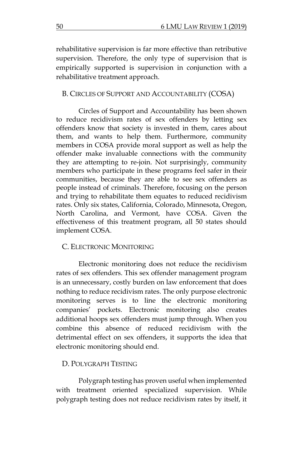rehabilitative supervision is far more effective than retributive supervision. Therefore, the only type of supervision that is empirically supported is supervision in conjunction with a rehabilitative treatment approach.

## B. CIRCLES OF SUPPORT AND ACCOUNTABILITY (COSA)

Circles of Support and Accountability has been shown to reduce recidivism rates of sex offenders by letting sex offenders know that society is invested in them, cares about them, and wants to help them. Furthermore, community members in COSA provide moral support as well as help the offender make invaluable connections with the community they are attempting to re-join. Not surprisingly, community members who participate in these programs feel safer in their communities, because they are able to see sex offenders as people instead of criminals. Therefore, focusing on the person and trying to rehabilitate them equates to reduced recidivism rates. Only six states, California, Colorado, Minnesota, Oregon, North Carolina, and Vermont, have COSA. Given the effectiveness of this treatment program, all 50 states should implement COSA.

## C. ELECTRONIC MONITORING

Electronic monitoring does not reduce the recidivism rates of sex offenders. This sex offender management program is an unnecessary, costly burden on law enforcement that does nothing to reduce recidivism rates. The only purpose electronic monitoring serves is to line the electronic monitoring companies' pockets. Electronic monitoring also creates additional hoops sex offenders must jump through. When you combine this absence of reduced recidivism with the detrimental effect on sex offenders, it supports the idea that electronic monitoring should end.

#### D. POLYGRAPH TESTING

Polygraph testing has proven useful when implemented with treatment oriented specialized supervision. While polygraph testing does not reduce recidivism rates by itself, it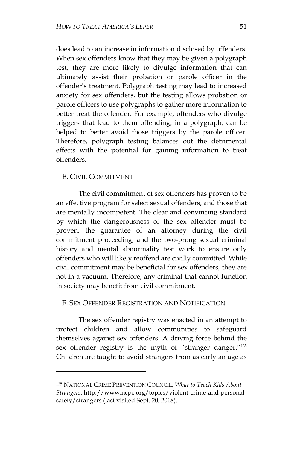does lead to an increase in information disclosed by offenders. When sex offenders know that they may be given a polygraph test, they are more likely to divulge information that can ultimately assist their probation or parole officer in the offender's treatment. Polygraph testing may lead to increased anxiety for sex offenders, but the testing allows probation or parole officers to use polygraphs to gather more information to better treat the offender. For example, offenders who divulge triggers that lead to them offending, in a polygraph, can be helped to better avoid those triggers by the parole officer. Therefore, polygraph testing balances out the detrimental effects with the potential for gaining information to treat offenders.

## E. CIVIL COMMITMENT

 $\overline{\phantom{a}}$ 

The civil commitment of sex offenders has proven to be an effective program for select sexual offenders, and those that are mentally incompetent. The clear and convincing standard by which the dangerousness of the sex offender must be proven, the guarantee of an attorney during the civil commitment proceeding, and the two-prong sexual criminal history and mental abnormality test work to ensure only offenders who will likely reoffend are civilly committed. While civil commitment may be beneficial for sex offenders, they are not in a vacuum. Therefore, any criminal that cannot function in society may benefit from civil commitment.

## F. SEX OFFENDER REGISTRATION AND NOTIFICATION

The sex offender registry was enacted in an attempt to protect children and allow communities to safeguard themselves against sex offenders. A driving force behind the sex offender registry is the myth of "stranger danger."<sup>125</sup> Children are taught to avoid strangers from as early an age as

<sup>125</sup> NATIONAL CRIME PREVENTION COUNCIL, *What to Teach Kids About Strangers*, [http://www.ncpc.org/topics/violent-crime-and-personal](http://www.ncpc.org/topics/violent-crime-and-personal-safety/strangers)[safety/strangers](http://www.ncpc.org/topics/violent-crime-and-personal-safety/strangers) (last visited Sept. 20, 2018).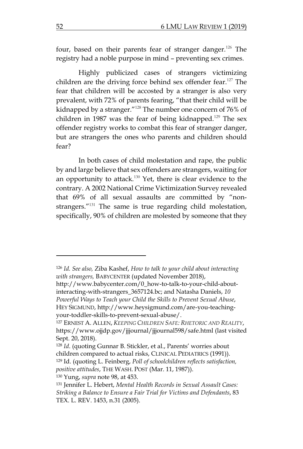four, based on their parents fear of stranger danger.<sup>126</sup> The registry had a noble purpose in mind – preventing sex crimes.

Highly publicized cases of strangers victimizing children are the driving force behind sex offender fear.<sup>127</sup> The fear that children will be accosted by a stranger is also very prevalent, with 72% of parents fearing, "that their child will be kidnapped by a stranger."<sup>128</sup> The number one concern of 76% of children in 1987 was the fear of being kidnapped.<sup>129</sup> The sex offender registry works to combat this fear of stranger danger, but are strangers the ones who parents and children should fear?

In both cases of child molestation and rape, the public by and large believe that sex offenders are strangers, waiting for an opportunity to attack.<sup>130</sup> Yet, there is clear evidence to the contrary. A 2002 National Crime Victimization Survey revealed that 69% of all sexual assaults are committed by "nonstrangers."<sup>131</sup> The same is true regarding child molestation, specifically, 90% of children are molested by someone that they

<sup>126</sup> *Id. See also,* Ziba Kashef, *How to talk to your child about interacting with strangers,* BABYCENTER (updated November 2018),

[http://www.babycenter.com/0\\_how-to-talk-to-your-child-about](http://www.babycenter.com/0_how-to-talk-to-your-child-about-interacting-with-strangers_3657124.bc)[interacting-with-strangers\\_3657124.bc;](http://www.babycenter.com/0_how-to-talk-to-your-child-about-interacting-with-strangers_3657124.bc) and Natasha Daniels, *10 Powerful Ways to Teach your Child the Skills to Prevent Sexual Abuse*, HEY SIGMUND, [http://www.heysigmund.com/are-you-teaching](http://www.heysigmund.com/are-you-teaching-your-toddler-skills-to-prevent-sexual-abuse/)[your-toddler-skills-to-prevent-sexual-abuse/.](http://www.heysigmund.com/are-you-teaching-your-toddler-skills-to-prevent-sexual-abuse/)

<sup>127</sup> ERNEST A. ALLEN, *KEEPING CHILDREN SAFE: RHETORIC AND REALITY*, <https://www.ojjdp.gov/jjjournal/jjjournal598/safe.html> (last visited Sept. 20, 2018).

<sup>128</sup> *Id*. (quoting Gunnar B. Stickler, et al., Parents' worries about children compared to actual risks, CLINICAL PEDIATRICS (1991)). <sup>129</sup> Id. (quoting L. Feinberg, *Poll of schoolchildren reflects satisfaction, positive attitudes*, THE WASH. POST (Mar. 11, 1987)).

<sup>130</sup> Yung, *supra* note 98, at 453.

<sup>131</sup> Jennifer L. Hebert, *Mental Health Records in Sexual Assault Cases: Striking a Balance to Ensure a Fair Trial for Victims and Defendants*, 83 TEX. L. REV. 1453, n.31 (2005).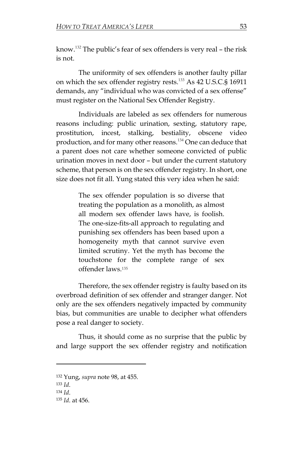know.<sup>132</sup> The public's fear of sex offenders is very real – the risk is not.

The uniformity of sex offenders is another faulty pillar on which the sex offender registry rests.<sup>133</sup> As 42 U.S.C.§ 16911 demands, any "individual who was convicted of a sex offense" must register on the National Sex Offender Registry.

Individuals are labeled as sex offenders for numerous reasons including: public urination, sexting, statutory rape, prostitution, incest, stalking, bestiality, obscene video production, and for many other reasons.<sup>134</sup> One can deduce that a parent does not care whether someone convicted of public urination moves in next door – but under the current statutory scheme, that person is on the sex offender registry. In short, one size does not fit all. Yung stated this very idea when he said:

> The sex offender population is so diverse that treating the population as a monolith, as almost all modern sex offender laws have, is foolish. The one-size-fits-all approach to regulating and punishing sex offenders has been based upon a homogeneity myth that cannot survive even limited scrutiny. Yet the myth has become the touchstone for the complete range of sex offender laws.<sup>135</sup>

Therefore, the sex offender registry is faulty based on its overbroad definition of sex offender and stranger danger. Not only are the sex offenders negatively impacted by community bias, but communities are unable to decipher what offenders pose a real danger to society.

Thus, it should come as no surprise that the public by and large support the sex offender registry and notification

<sup>132</sup> Yung, *supra* note 98, at 455.

<sup>133</sup> *Id*.

<sup>134</sup> *Id*.

<sup>135</sup> *Id*. at 456.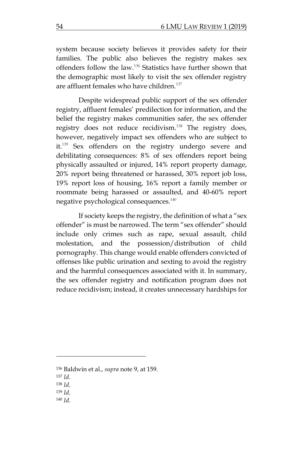system because society believes it provides safety for their families. The public also believes the registry makes sex offenders follow the law.<sup>136</sup> Statistics have further shown that the demographic most likely to visit the sex offender registry are affluent females who have children.<sup>137</sup>

Despite widespread public support of the sex offender registry, affluent females' predilection for information, and the belief the registry makes communities safer, the sex offender registry does not reduce recidivism.<sup>138</sup> The registry does, however, negatively impact sex offenders who are subject to it.<sup>139</sup> Sex offenders on the registry undergo severe and debilitating consequences: 8% of sex offenders report being physically assaulted or injured, 14% report property damage, 20% report being threatened or harassed, 30% report job loss, 19% report loss of housing, 16% report a family member or roommate being harassed or assaulted, and 40-60% report negative psychological consequences.<sup>140</sup>

If society keeps the registry, the definition of what a "sex offender" is must be narrowed. The term "sex offender" should include only crimes such as rape, sexual assault, child molestation, and the possession/distribution of child pornography. This change would enable offenders convicted of offenses like public urination and sexting to avoid the registry and the harmful consequences associated with it. In summary, the sex offender registry and notification program does not reduce recidivism; instead, it creates unnecessary hardships for

 $\overline{\phantom{a}}$ 

<sup>140</sup> *Id*.

<sup>136</sup> Baldwin et al., *supra* note 9, at 159.

<sup>137</sup> *Id*.

<sup>138</sup> *Id*.

<sup>139</sup> *Id*.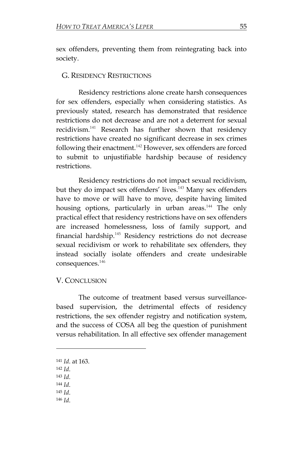sex offenders, preventing them from reintegrating back into society.

#### G. RESIDENCY RESTRICTIONS

Residency restrictions alone create harsh consequences for sex offenders, especially when considering statistics. As previously stated, research has demonstrated that residence restrictions do not decrease and are not a deterrent for sexual recidivism.<sup>141</sup> Research has further shown that residency restrictions have created no significant decrease in sex crimes following their enactment.<sup>142</sup> However, sex offenders are forced to submit to unjustifiable hardship because of residency restrictions.

Residency restrictions do not impact sexual recidivism, but they do impact sex offenders' lives.<sup>143</sup> Many sex offenders have to move or will have to move, despite having limited housing options, particularly in urban areas.<sup>144</sup> The only practical effect that residency restrictions have on sex offenders are increased homelessness, loss of family support, and financial hardship.<sup>145</sup> Residency restrictions do not decrease sexual recidivism or work to rehabilitate sex offenders, they instead socially isolate offenders and create undesirable consequences.<sup>146</sup>

#### V. CONCLUSION

The outcome of treatment based versus surveillancebased supervision, the detrimental effects of residency restrictions, the sex offender registry and notification system, and the success of COSA all beg the question of punishment versus rehabilitation. In all effective sex offender management

<sup>142</sup> *Id*.

l

- <sup>143</sup> *Id*.
- <sup>144</sup> *Id*.
- <sup>145</sup> *Id*.
- <sup>146</sup> *Id*.

<sup>141</sup> *Id*. at 163.